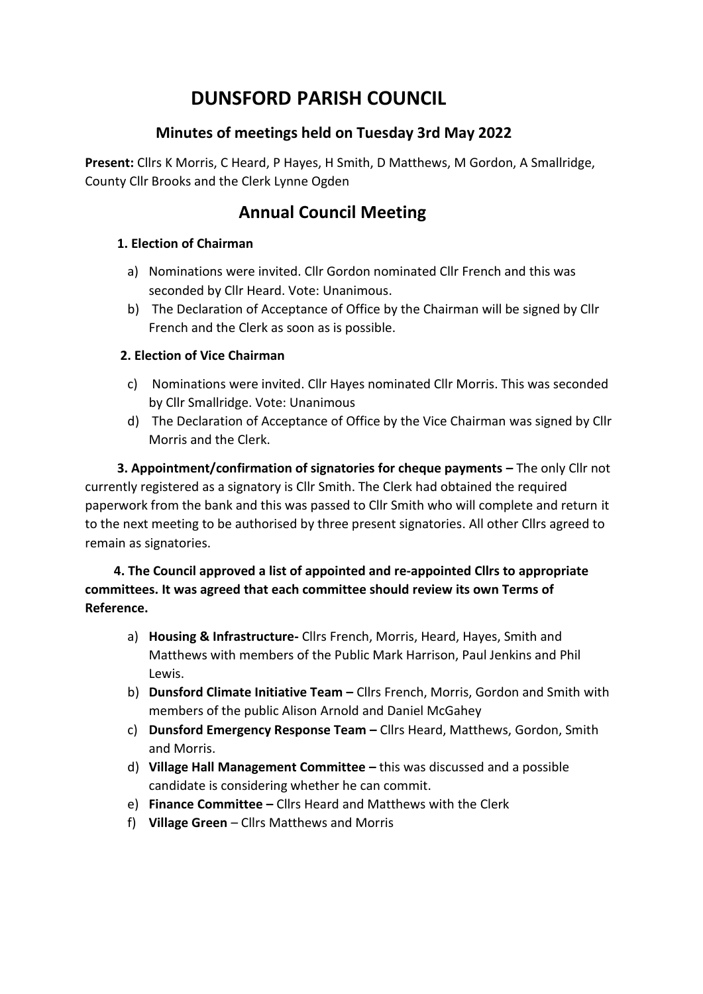# **DUNSFORD PARISH COUNCIL**

## **Minutes of meetings held on Tuesday 3rd May 2022**

**Present:** Cllrs K Morris, C Heard, P Hayes, H Smith, D Matthews, M Gordon, A Smallridge, County Cllr Brooks and the Clerk Lynne Ogden

## **Annual Council Meeting**

#### **1. Election of Chairman**

- a) Nominations were invited. Cllr Gordon nominated Cllr French and this was seconded by Cllr Heard. Vote: Unanimous.
- b) The Declaration of Acceptance of Office by the Chairman will be signed by Cllr French and the Clerk as soon as is possible.

## **2. Election of Vice Chairman**

- c) Nominations were invited. Cllr Hayes nominated Cllr Morris. This was seconded by Cllr Smallridge. Vote: Unanimous
- d) The Declaration of Acceptance of Office by the Vice Chairman was signed by Cllr Morris and the Clerk.

 **3. Appointment/confirmation of signatories for cheque payments –** The only Cllr not currently registered as a signatory is Cllr Smith. The Clerk had obtained the required paperwork from the bank and this was passed to Cllr Smith who will complete and return it to the next meeting to be authorised by three present signatories. All other Cllrs agreed to remain as signatories.

## **4. The Council approved a list of appointed and re-appointed Cllrs to appropriate committees. It was agreed that each committee should review its own Terms of Reference.**

- a) **Housing & Infrastructure-** Cllrs French, Morris, Heard, Hayes, Smith and Matthews with members of the Public Mark Harrison, Paul Jenkins and Phil Lewis.
- b) **Dunsford Climate Initiative Team –** Cllrs French, Morris, Gordon and Smith with members of the public Alison Arnold and Daniel McGahey
- c) **Dunsford Emergency Response Team –** Cllrs Heard, Matthews, Gordon, Smith and Morris.
- d) **Village Hall Management Committee –** this was discussed and a possible candidate is considering whether he can commit.
- e) **Finance Committee –** Cllrs Heard and Matthews with the Clerk
- f) **Village Green** Cllrs Matthews and Morris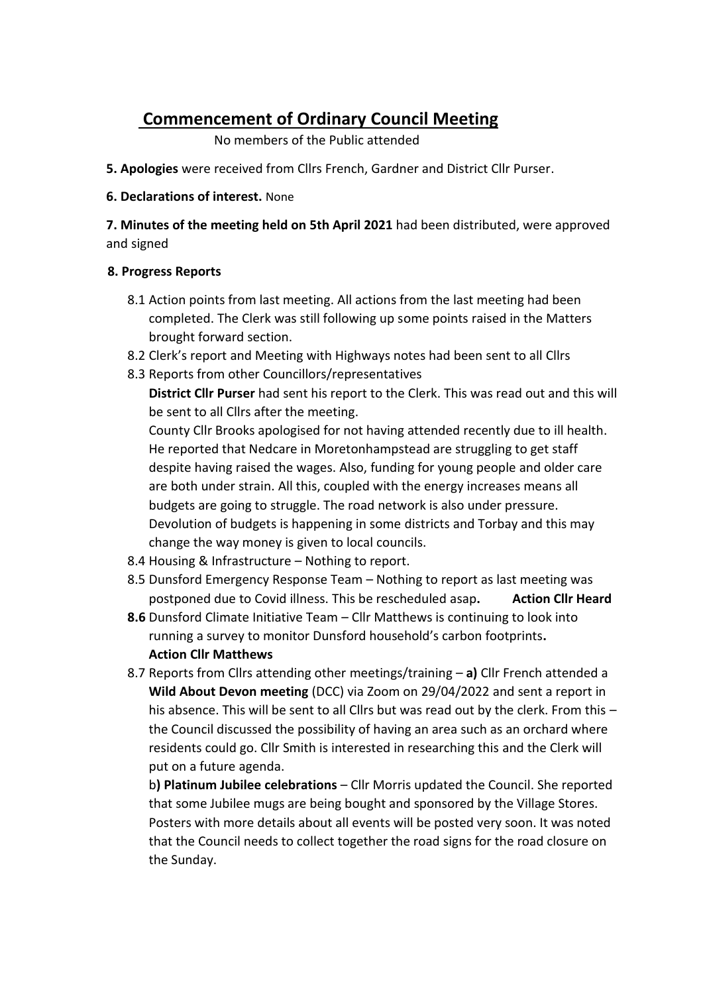## **Commencement of Ordinary Council Meeting**

No members of the Public attended

- **5. Apologies** were received from Cllrs French, Gardner and District Cllr Purser.
- **6. Declarations of interest.** None

**7. Minutes of the meeting held on 5th April 2021** had been distributed, were approved and signed

#### **8. Progress Reports**

- 8.1 Action points from last meeting. All actions from the last meeting had been completed. The Clerk was still following up some points raised in the Matters brought forward section.
- 8.2 Clerk's report and Meeting with Highways notes had been sent to all Cllrs
- 8.3 Reports from other Councillors/representatives

**District Cllr Purser** had sent his report to the Clerk. This was read out and this will be sent to all Cllrs after the meeting.

County Cllr Brooks apologised for not having attended recently due to ill health. He reported that Nedcare in Moretonhampstead are struggling to get staff despite having raised the wages. Also, funding for young people and older care are both under strain. All this, coupled with the energy increases means all budgets are going to struggle. The road network is also under pressure. Devolution of budgets is happening in some districts and Torbay and this may change the way money is given to local councils.

- 8.4 Housing & Infrastructure Nothing to report.
- 8.5 Dunsford Emergency Response Team Nothing to report as last meeting was postponed due to Covid illness. This be rescheduled asap**. Action Cllr Heard**
- **8.6** Dunsford Climate Initiative Team Cllr Matthews is continuing to look into running a survey to monitor Dunsford household's carbon footprints**. Action Cllr Matthews**
- 8.7 Reports from Cllrs attending other meetings/training **a)** Cllr French attended a **Wild About Devon meeting** (DCC) via Zoom on 29/04/2022 and sent a report in his absence. This will be sent to all Cllrs but was read out by the clerk. From this – the Council discussed the possibility of having an area such as an orchard where residents could go. Cllr Smith is interested in researching this and the Clerk will put on a future agenda.

b**) Platinum Jubilee celebrations** – Cllr Morris updated the Council. She reported that some Jubilee mugs are being bought and sponsored by the Village Stores. Posters with more details about all events will be posted very soon. It was noted that the Council needs to collect together the road signs for the road closure on the Sunday.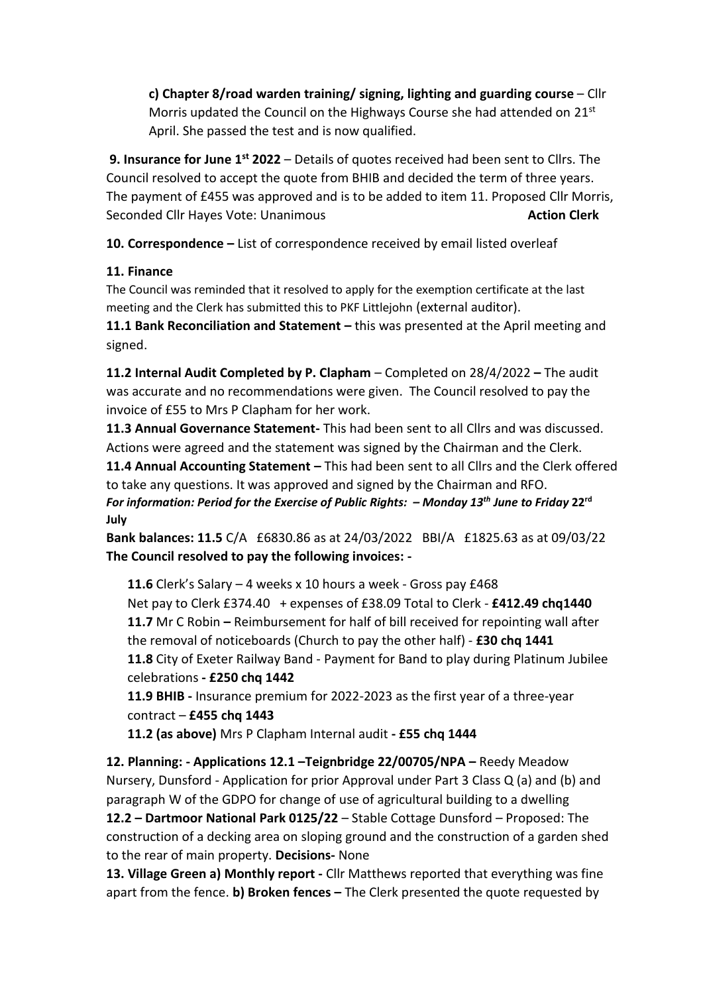**c) Chapter 8/road warden training/ signing, lighting and guarding course** – Cllr Morris updated the Council on the Highways Course she had attended on 21<sup>st</sup> April. She passed the test and is now qualified.

**9. Insurance for June 1st 2022** – Details of quotes received had been sent to Cllrs. The Council resolved to accept the quote from BHIB and decided the term of three years. The payment of £455 was approved and is to be added to item 11. Proposed Cllr Morris, Seconded Cllr Hayes Vote: Unanimous **Action Clerk Action Clerk** 

**10. Correspondence –** List of correspondence received by email listed overleaf

## **11. Finance**

The Council was reminded that it resolved to apply for the exemption certificate at the last meeting and the Clerk has submitted this to PKF Littlejohn (external auditor).

**11.1 Bank Reconciliation and Statement –** this was presented at the April meeting and signed.

**11.2 Internal Audit Completed by P. Clapham** – Completed on 28/4/2022 **–** The audit was accurate and no recommendations were given. The Council resolved to pay the invoice of £55 to Mrs P Clapham for her work.

**11.3 Annual Governance Statement-** This had been sent to all Cllrs and was discussed. Actions were agreed and the statement was signed by the Chairman and the Clerk.

**11.4 Annual Accounting Statement –** This had been sent to all Cllrs and the Clerk offered to take any questions. It was approved and signed by the Chairman and RFO. *For information: Period for the Exercise of Public Rights: – Monday 13 th June to Friday* **22 rd July** 

**Bank balances: 11.5** C/A £6830.86 as at 24/03/2022 BBI/A £1825.63 as at 09/03/22 **The Council resolved to pay the following invoices: -**

**11.6** Clerk's Salary – 4 weeks x 10 hours a week - Gross pay £468 Net pay to Clerk £374.40 + expenses of £38.09 Total to Clerk - **£412.49 chq1440 11.7** Mr C Robin **–** Reimbursement for half of bill received for repointing wall after the removal of noticeboards (Church to pay the other half) - **£30 chq 1441 11.8** City of Exeter Railway Band - Payment for Band to play during Platinum Jubilee celebrations **- £250 chq 1442**

**11.9 BHIB -** Insurance premium for 2022-2023 as the first year of a three-year contract – **£455 chq 1443**

**11.2 (as above)** Mrs P Clapham Internal audit **- £55 chq 1444**

**12. Planning: - Applications 12.1 –Teignbridge 22/00705/NPA –** Reedy Meadow Nursery, Dunsford - Application for prior Approval under Part 3 Class Q (a) and (b) and paragraph W of the GDPO for change of use of agricultural building to a dwelling **12.2 – Dartmoor National Park 0125/22** – Stable Cottage Dunsford – Proposed: The construction of a decking area on sloping ground and the construction of a garden shed to the rear of main property. **Decisions-** None

**13. Village Green a) Monthly report -** Cllr Matthews reported that everything was fine apart from the fence. **b) Broken fences –** The Clerk presented the quote requested by